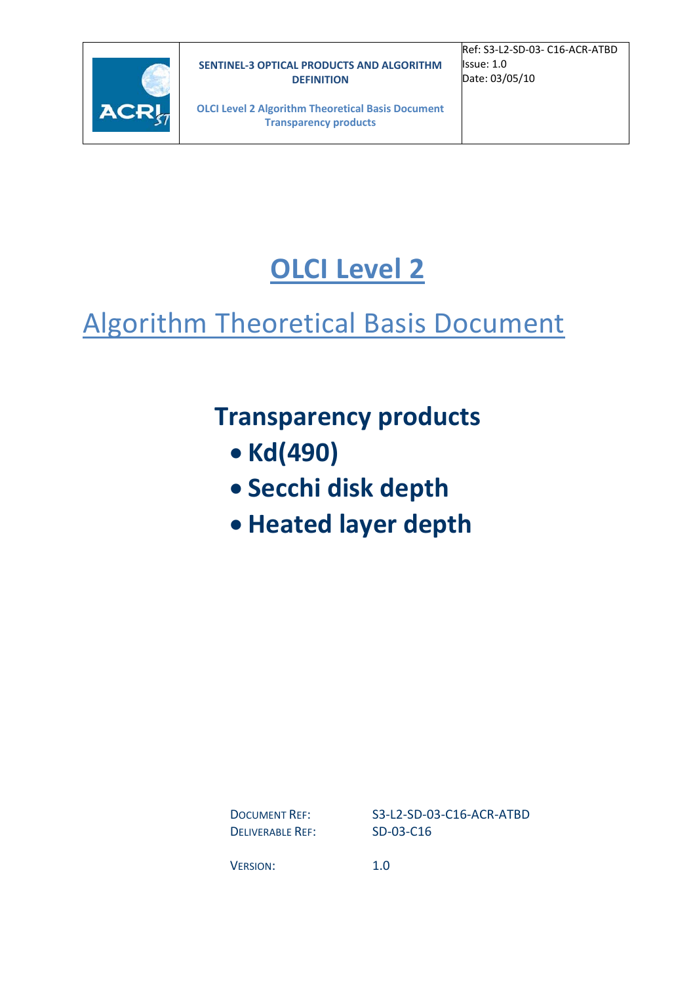

Ref: S3‐L2‐SD‐03‐ C16‐ACR‐ATBD Issue: 1.0 Date: 03/05/10

**OLCI Level 2 Algorithm Theoretical Basis Document Transparency products**

# **OLCI Level 2**

# Algorithm Theoretical Basis Document

# **Transparency products**

- **Kd(490)**
- **Secchi disk depth**
- **Heated layer depth**

DELIVERABLE REF: SD-03-C16

DOCUMENT REF: S3-L2-SD-03-C16-ACR-ATBD

VERSION: 1.0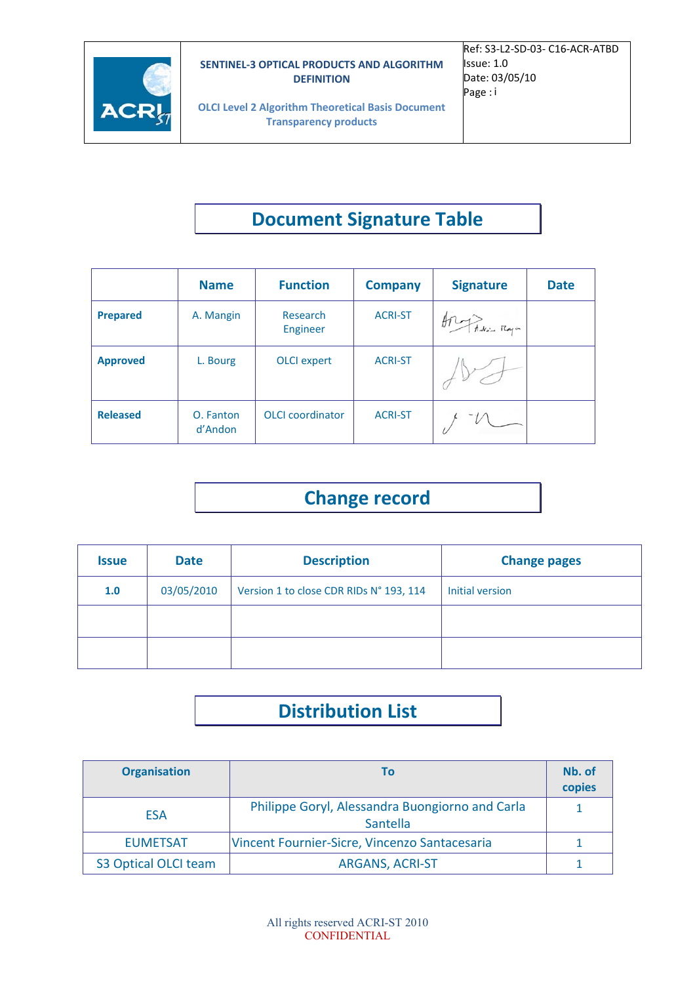

**OLCI Level 2 Algorithm Theoretical Basis Document Transparency products**

# **Document Signature Table**

|                 | <b>Name</b>          | <b>Function</b>         | <b>Company</b> | <b>Signature</b> | <b>Date</b> |
|-----------------|----------------------|-------------------------|----------------|------------------|-------------|
| <b>Prepared</b> | A. Mangin            | Research<br>Engineer    | <b>ACRI-ST</b> | ATLAND Rayn      |             |
| <b>Approved</b> | L. Bourg             | <b>OLCI</b> expert      | <b>ACRI-ST</b> |                  |             |
| <b>Released</b> | O. Fanton<br>d'Andon | <b>OLCI</b> coordinator | <b>ACRI-ST</b> |                  |             |

## **Change record**

| <b>Issue</b> | <b>Date</b> | <b>Description</b>                      | <b>Change pages</b> |
|--------------|-------------|-----------------------------------------|---------------------|
| 1.0          | 03/05/2010  | Version 1 to close CDR RIDs N° 193, 114 | Initial version     |
|              |             |                                         |                     |
|              |             |                                         |                     |

# **Distribution List**

| <b>Organisation</b>  | Т٥                                                                 | Nb. of<br>copies |
|----------------------|--------------------------------------------------------------------|------------------|
| <b>ESA</b>           | Philippe Goryl, Alessandra Buongiorno and Carla<br><b>Santella</b> |                  |
| <b>EUMETSAT</b>      | Vincent Fournier-Sicre, Vincenzo Santacesaria                      |                  |
| S3 Optical OLCI team | <b>ARGANS, ACRI-ST</b>                                             |                  |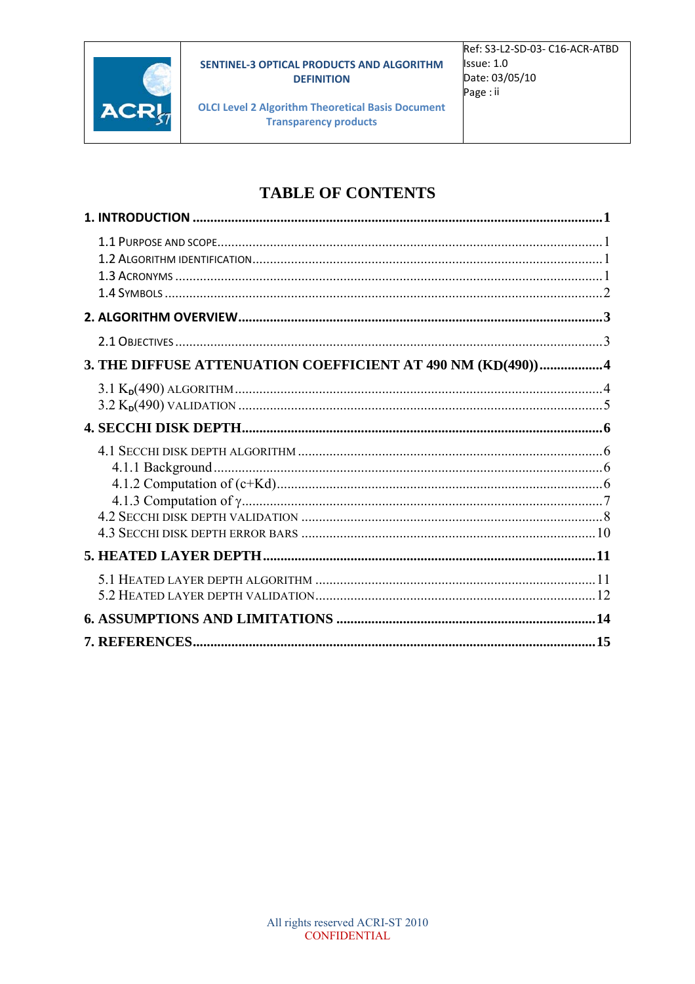

**OLCI Level 2 Algorithm Theoretical Basis Document Transparency products** 

### **TABLE OF CONTENTS**

| 3. THE DIFFUSE ATTENUATION COEFFICIENT AT 490 NM (KD(490))4 |  |
|-------------------------------------------------------------|--|
|                                                             |  |
|                                                             |  |
|                                                             |  |
|                                                             |  |
|                                                             |  |
|                                                             |  |
|                                                             |  |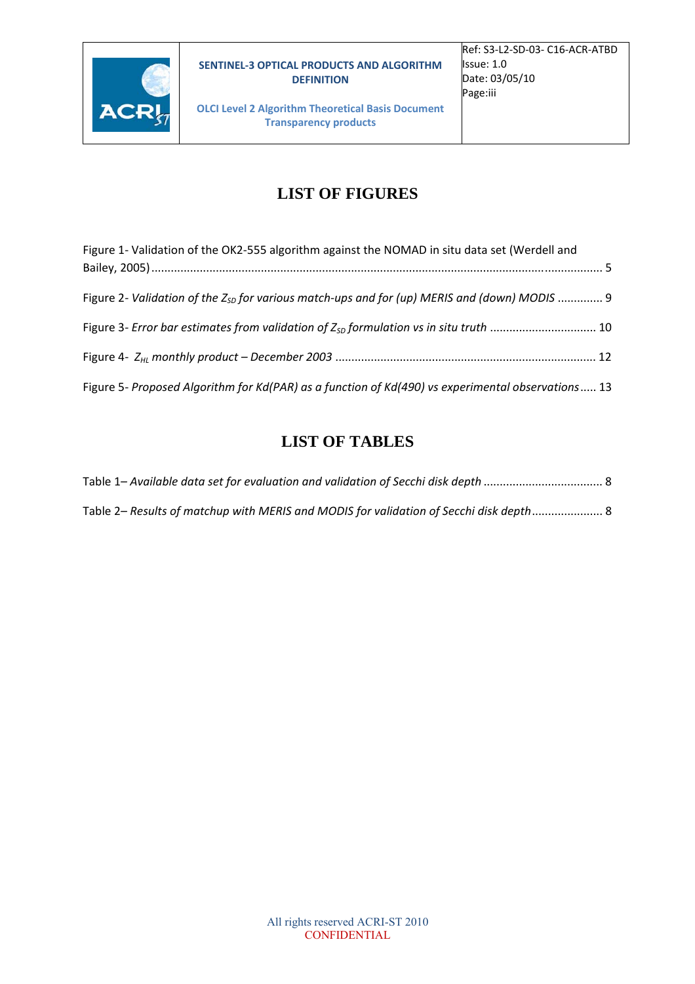

**OLCI Level 2 Algorithm Theoretical Basis Document Transparency products**

### **LIST OF FIGURES**

| Figure 1- Validation of the OK2-555 algorithm against the NOMAD in situ data set (Werdell and            |  |
|----------------------------------------------------------------------------------------------------------|--|
|                                                                                                          |  |
| Figure 2- Validation of the Z <sub>SD</sub> for various match-ups and for (up) MERIS and (down) MODIS  9 |  |
| Figure 3- Error bar estimates from validation of $Z_{SD}$ formulation vs in situ truth  10               |  |
|                                                                                                          |  |
| Figure 5- Proposed Algorithm for Kd(PAR) as a function of Kd(490) vs experimental observations 13        |  |

### **LIST OF TABLES**

| Table 2- Results of matchup with MERIS and MODIS for validation of Secchi disk depth 8 |  |
|----------------------------------------------------------------------------------------|--|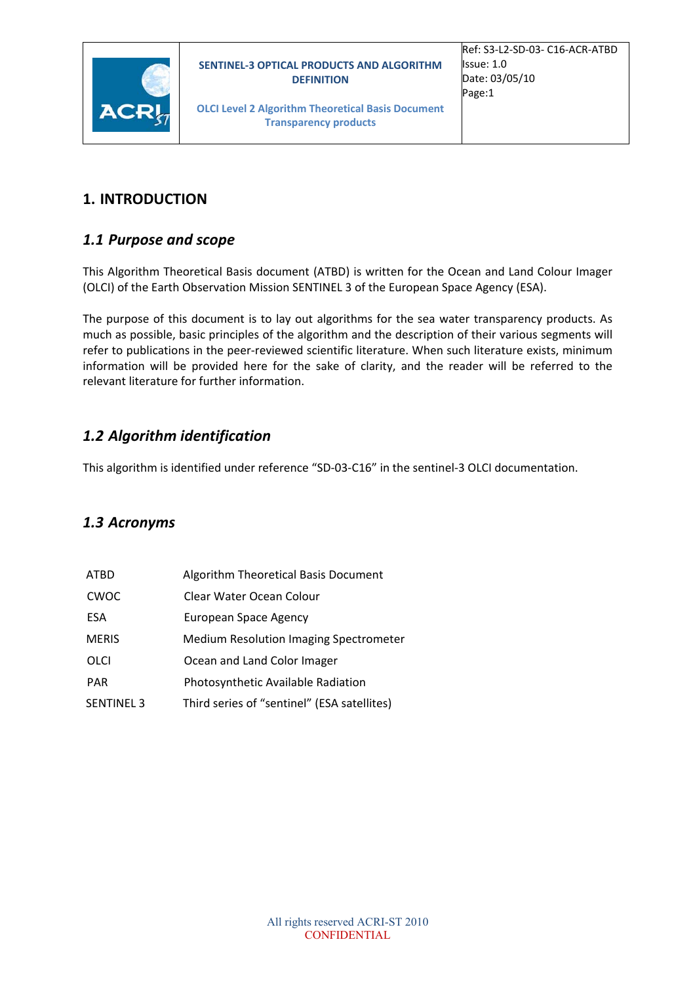



**OLCI Level 2 Algorithm Theoretical Basis Document Transparency products**

#### **1. INTRODUCTION**

#### *1.1 Purpose and scope*

This Algorithm Theoretical Basis document (ATBD) is written for the Ocean and Land Colour Imager (OLCI) of the Earth Observation Mission SENTINEL 3 of the European Space Agency (ESA).

The purpose of this document is to lay out algorithms for the sea water transparency products. As much as possible, basic principles of the algorithm and the description of their various segments will refer to publications in the peer-reviewed scientific literature. When such literature exists, minimum information will be provided here for the sake of clarity, and the reader will be referred to the relevant literature for further information.

#### *1.2 Algorithm identification*

This algorithm is identified under reference "SD‐03‐C16" in the sentinel‐3 OLCI documentation.

#### *1.3 Acronyms*

| <b>ATBD</b>       | Algorithm Theoretical Basis Document        |
|-------------------|---------------------------------------------|
| CWOC              | Clear Water Ocean Colour                    |
| ESA               | European Space Agency                       |
| <b>MERIS</b>      | Medium Resolution Imaging Spectrometer      |
| OLCI              | Ocean and Land Color Imager                 |
| <b>PAR</b>        | Photosynthetic Available Radiation          |
| <b>SENTINEL 3</b> | Third series of "sentinel" (ESA satellites) |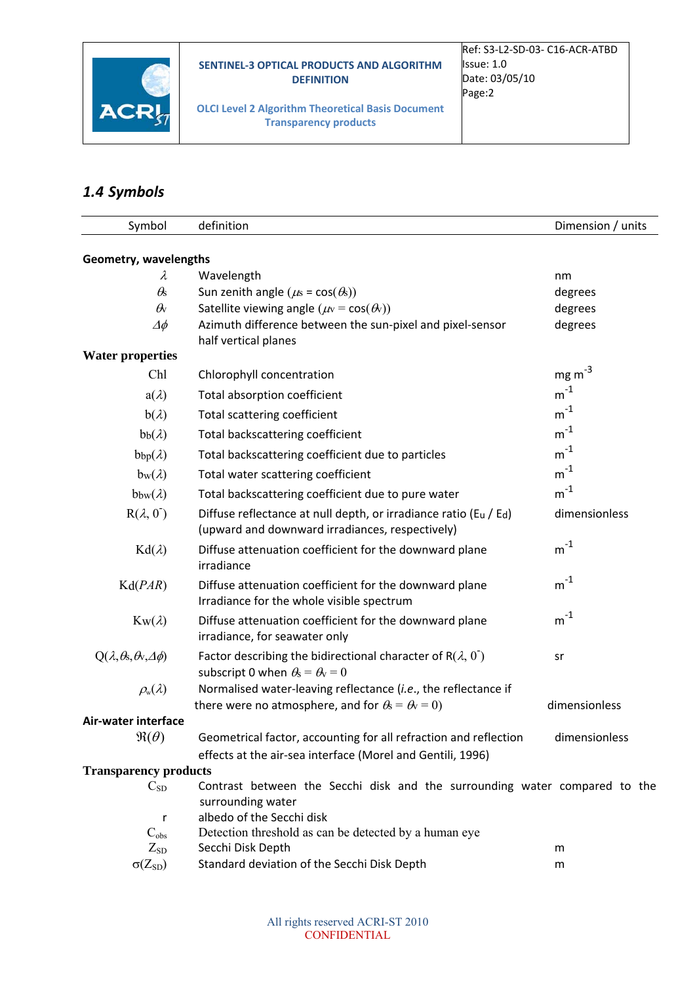

**OLCI Level 2 Algorithm Theoretical Basis Document Transparency products**

### *1.4 Symbols*

| Symbol                                          | definition                                                                                                                  | Dimension / units      |
|-------------------------------------------------|-----------------------------------------------------------------------------------------------------------------------------|------------------------|
| Geometry, wavelengths                           |                                                                                                                             |                        |
| λ                                               | Wavelength                                                                                                                  | nm                     |
| $\theta$ s                                      | Sun zenith angle ( $\mu$ s = cos( $\theta$ s))                                                                              | degrees                |
| $\theta_{\rm V}$                                | Satellite viewing angle ( $\mu$ v = cos( $\theta$ v))                                                                       | degrees                |
| $\varDelta\phi$                                 | Azimuth difference between the sun-pixel and pixel-sensor                                                                   | degrees                |
|                                                 | half vertical planes                                                                                                        |                        |
| <b>Water properties</b>                         |                                                                                                                             |                        |
| Chl                                             | Chlorophyll concentration                                                                                                   | $mg \, \text{m}^{-3}$  |
| $a(\lambda)$                                    | Total absorption coefficient                                                                                                | $\mathsf{m}^\text{-1}$ |
| $b(\lambda)$                                    | Total scattering coefficient                                                                                                | $\mathsf{m}^\text{-1}$ |
| $bb(\lambda)$                                   | Total backscattering coefficient                                                                                            | $m^{-1}$               |
| $bbp(\lambda)$                                  | Total backscattering coefficient due to particles                                                                           | $m^{-1}$               |
| $b_w(\lambda)$                                  | Total water scattering coefficient                                                                                          | $m^{-1}$               |
| $bbw(\lambda)$                                  | Total backscattering coefficient due to pure water                                                                          | $m^{-1}$               |
| $R(\lambda, 0)$                                 | Diffuse reflectance at null depth, or irradiance ratio (Eu / Ed)<br>(upward and downward irradiances, respectively)         | dimensionless          |
| $Kd(\lambda)$                                   | Diffuse attenuation coefficient for the downward plane<br>irradiance                                                        | $m^{-1}$               |
| Kd(PAR)                                         | Diffuse attenuation coefficient for the downward plane<br>Irradiance for the whole visible spectrum                         | $m^{-1}$               |
| $K_W(\lambda)$                                  | Diffuse attenuation coefficient for the downward plane<br>irradiance, for seawater only                                     | $m^{-1}$               |
| $Q(\lambda, \theta, \theta, \mathcal{A}, \phi)$ | Factor describing the bidirectional character of R $(\lambda, 0)$<br>subscript 0 when $\theta_s = \theta_v = 0$             | sr                     |
| $\rho_{\rm w}(\lambda)$                         | Normalised water-leaving reflectance (i.e., the reflectance if<br>there were no atmosphere, and for $\theta = \theta = 0$ ) | dimensionless          |
| Air-water interface                             |                                                                                                                             |                        |
| $\Re(\theta)$                                   | Geometrical factor, accounting for all refraction and reflection                                                            | dimensionless          |
|                                                 | effects at the air-sea interface (Morel and Gentili, 1996)                                                                  |                        |
| <b>Transparency products</b>                    |                                                                                                                             |                        |
| $C_{SD}$                                        | Contrast between the Secchi disk and the surrounding water compared to the                                                  |                        |
| r                                               | surrounding water<br>albedo of the Secchi disk                                                                              |                        |
| $C_{obs}$                                       | Detection threshold as can be detected by a human eye                                                                       |                        |
| $Z_{SD}$                                        | Secchi Disk Depth                                                                                                           | m                      |
| $\sigma(Z_{SD})$                                | Standard deviation of the Secchi Disk Depth                                                                                 | m                      |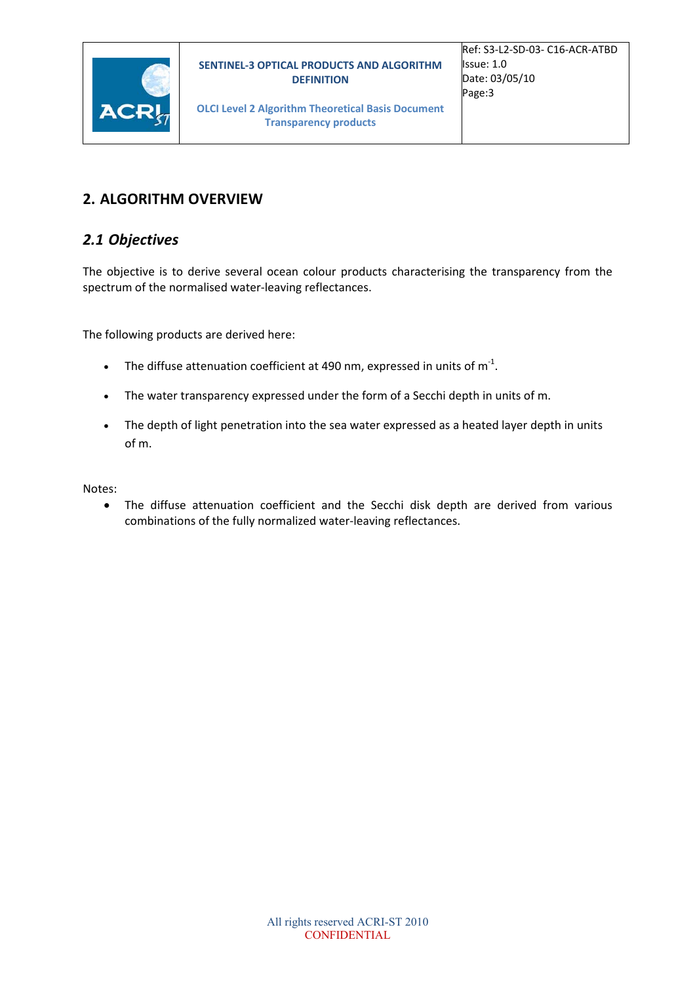



#### **2. ALGORITHM OVERVIEW**

#### *2.1 Objectives*

The objective is to derive several ocean colour products characterising the transparency from the spectrum of the normalised water‐leaving reflectances.

The following products are derived here:

- The diffuse attenuation coefficient at 490 nm, expressed in units of  $m^{-1}$ .
- The water transparency expressed under the form of a Secchi depth in units of m.
- The depth of light penetration into the sea water expressed as a heated layer depth in units of m.

Notes:

 The diffuse attenuation coefficient and the Secchi disk depth are derived from various combinations of the fully normalized water‐leaving reflectances.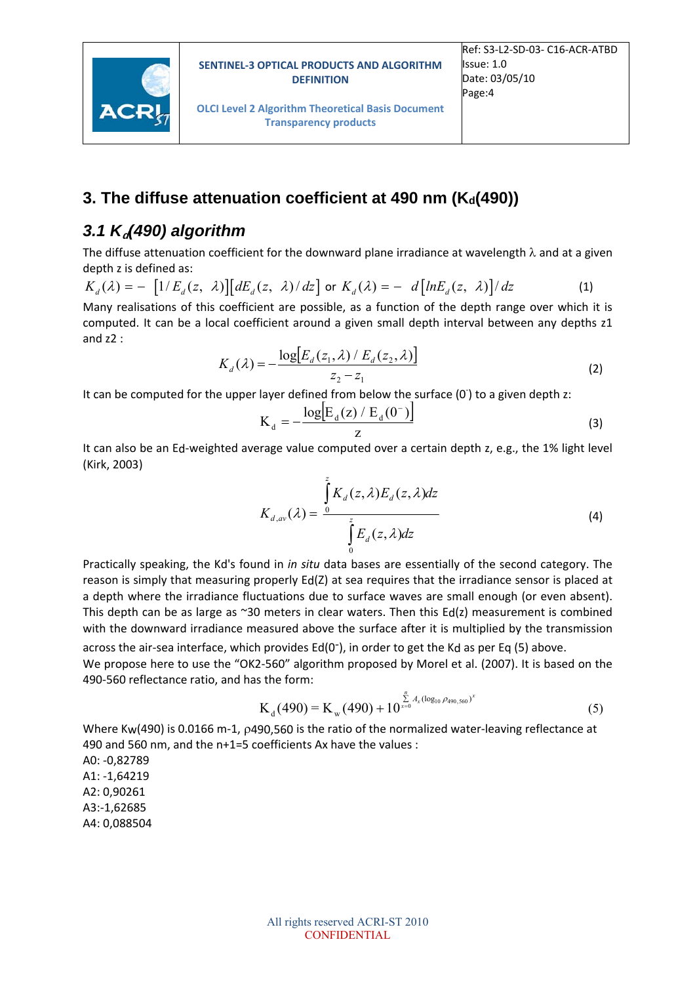



#### **3. The diffuse attenuation coefficient at 490 nm (Ka(490))**

### *3.1 K***d***(490) algorithm*

The diffuse attenuation coefficient for the downward plane irradiance at wavelength  $\lambda$  and at a given depth z is defined as:

$$
K_d(\lambda) = -\left[1/E_d(z, \lambda)\right] \left[dE_d(z, \lambda)/dz\right] \text{ or } K_d(\lambda) = -\left[d\left[lnE_d(z, \lambda)\right]/dz\right]
$$
\n(1)

Many realisations of this coefficient are possible, as a function of the depth range over which it is computed. It can be a local coefficient around a given small depth interval between any depths z1 and  $z2$  :

$$
K_d(\lambda) = -\frac{\log[E_d(z_1, \lambda) / E_d(z_2, \lambda)]}{z_2 - z_1}
$$
 (2)

It can be computed for the upper layer defined from below the surface (0<sup>-</sup>) to a given depth z:

$$
K_{d} = -\frac{\log[E_{d}(z) / E_{d}(0^{-})]}{z}
$$
 (3)

It can also be an Ed‐weighted average value computed over a certain depth z, e.g., the 1% light level (Kirk, 2003)

$$
K_{d,av}(\lambda) = \frac{\int_{0}^{z} K_{d}(z,\lambda) E_{d}(z,\lambda) dz}{\int_{0}^{z} E_{d}(z,\lambda) dz}
$$
\n(4)

Practically speaking, the Kd's found in *in situ* data bases are essentially of the second category. The reason is simply that measuring properly Ed(Z) at sea requires that the irradiance sensor is placed at a depth where the irradiance fluctuations due to surface waves are small enough (or even absent). This depth can be as large as ~30 meters in clear waters. Then this  $Ed(z)$  measurement is combined with the downward irradiance measured above the surface after it is multiplied by the transmission

across the air-sea interface, which provides  $Ed(0<sup>-</sup>)$ , in order to get the Kd as per Eq (5) above. We propose here to use the "OK2-560" algorithm proposed by Morel et al. (2007). It is based on the 490‐560 reflectance ratio, and has the form:

$$
K_{d}(490) = K_{w}(490) + 10^{\sum_{x=0}^{n} A_{x}(\log_{10} \rho_{490,560})^{x}}
$$
(5)

Where Kw(490) is 0.0166 m-1, p490,560 is the ratio of the normalized water-leaving reflectance at 490 and 560 nm, and the n+1=5 coefficients Ax have the values :

A0: ‐0,82789 A1: ‐1,64219 A2: 0,90261 A3:‐1,62685 A4: 0,088504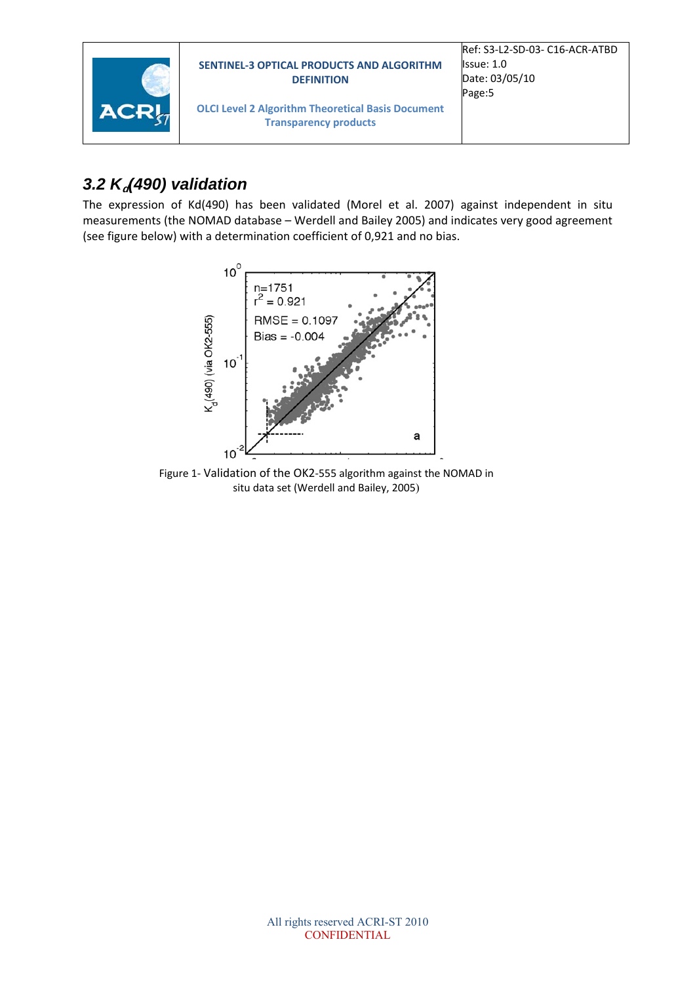

### 3.2 K<sub>a</sub> $(490)$  validation

The expression of Kd(490) has been validated (Morel et al. 2007) against independent in situ measurements (the NOMAD database – Werdell and Bailey 2005) and indicates very good agreement (see figure below) with a determination coefficient of 0,921 and no bias.



Figure 1‐ Validation of the OK2‐555 algorithm against the NOMAD in situ data set (Werdell and Bailey, 2005)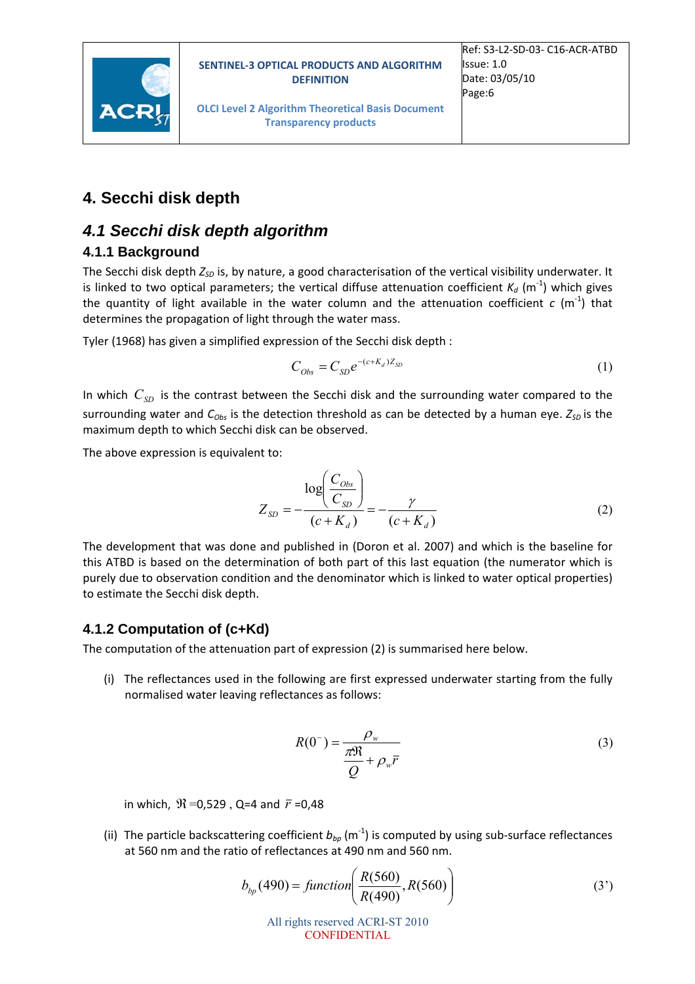

**OLCI Level 2 Algorithm Theoretical Basis Document Transparency products**

#### **4. Secchi disk depth**

#### *4.1 Secchi disk depth algorithm*

#### **4.1.1 Background**

The Secchi disk depth  $Z_{SD}$  is, by nature, a good characterisation of the vertical visibility underwater. It is linked to two optical parameters; the vertical diffuse attenuation coefficient  $K_d$  (m<sup>-1</sup>) which gives the quantity of light available in the water column and the attenuation coefficient  $c$  (m<sup>-1</sup>) that determines the propagation of light through the water mass.

Tyler (1968) has given a simplified expression of the Secchi disk depth :

$$
C_{Obs} = C_{SD} e^{-(c+K_d)Z_{SD}} \tag{1}
$$

In which  $C_{SD}$  is the contrast between the Secchi disk and the surrounding water compared to the surrounding water and  $C_{Obs}$  is the detection threshold as can be detected by a human eye.  $Z_{SD}$  is the maximum depth to which Secchi disk can be observed.

The above expression is equivalent to:

$$
Z_{SD} = -\frac{\log\left(\frac{C_{Obs}}{C_{SD}}\right)}{(c + K_d)} = -\frac{\gamma}{(c + K_d)}
$$
(2)

The development that was done and published in (Doron et al. 2007) and which is the baseline for this ATBD is based on the determination of both part of this last equation (the numerator which is purely due to observation condition and the denominator which is linked to water optical properties) to estimate the Secchi disk depth.

#### **4.1.2 Computation of (c+Kd)**

The computation of the attenuation part of expression (2) is summarised here below.

(i) The reflectances used in the following are first expressed underwater starting from the fully normalised water leaving reflectances as follows:

$$
R(0^{-}) = \frac{\rho_w}{\frac{\pi N}{Q} + \rho_w \bar{r}}
$$
\n(3)

in which,  $\mathfrak{R} = 0.529$ , Q=4 and  $\bar{r} = 0.48$ 

(ii) The particle backscattering coefficient  $b_{bp}$  (m<sup>-1</sup>) is computed by using sub-surface reflectances at 560 nm and the ratio of reflectances at 490 nm and 560 nm.

$$
b_{bp}(490) = function\left(\frac{R(560)}{R(490)}, R(560)\right)
$$
 (3')

All rights reserved ACRI-ST 2010 CONFIDENTIAL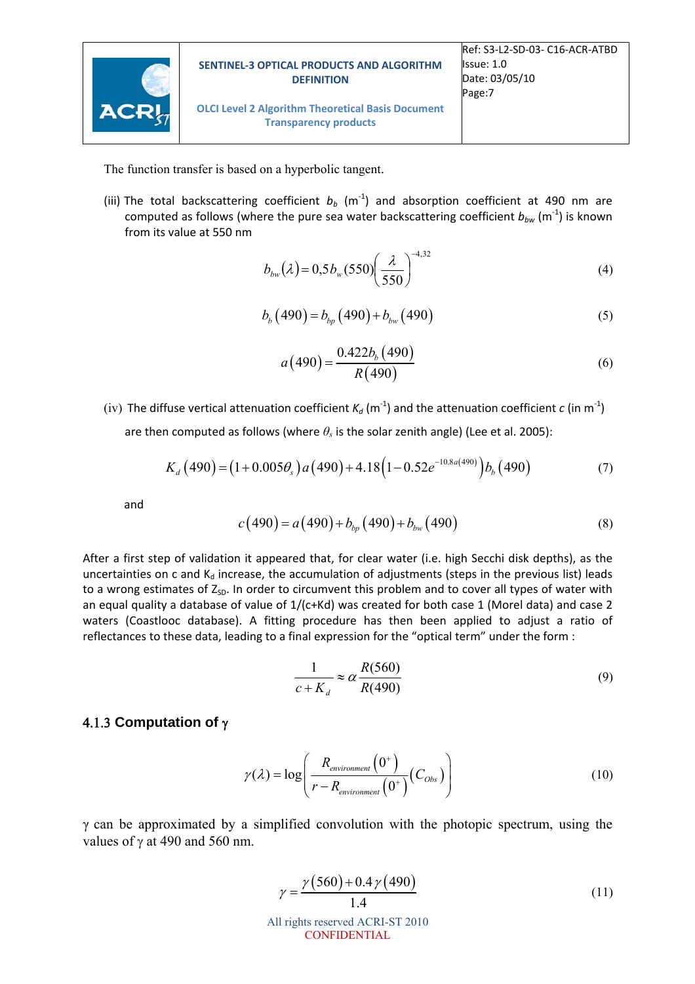

**OLCI Level 2 Algorithm Theoretical Basis Document Transparency products**

The function transfer is based on a hyperbolic tangent.

(iii) The total backscattering coefficient  $b_b$  (m<sup>-1</sup>) and absorption coefficient at 490 nm are computed as follows (where the pure sea water backscattering coefficient  $b_{\iota w}$  (m<sup>-1</sup>) is known from its value at 550 nm

$$
b_{bw}(\lambda) = 0.5b_w(550) \left(\frac{\lambda}{550}\right)^{-4,32} \tag{4}
$$

$$
b_b(490) = b_{bp}(490) + b_{bw}(490)
$$
 (5)

$$
a(490) = \frac{0.422b_b(490)}{R(490)}\tag{6}
$$

(iv) The diffuse vertical attenuation coefficient  $K_d$  (m<sup>-1</sup>) and the attenuation coefficient  $c$  (in m<sup>-1</sup>)

are then computed as follows (where  $\theta_s$  is the solar zenith angle) (Lee et al. 2005):

$$
K_d(490) = (1+0.005\theta_s) a(490) + 4.18(1-0.52e^{-10.8a(490)}) b_b(490)
$$
 (7)

and

$$
c(490) = a(490) + b_{bp}(490) + b_{bw}(490)
$$
 (8)

After a first step of validation it appeared that, for clear water (i.e. high Secchi disk depths), as the uncertainties on c and  $K_d$  increase, the accumulation of adjustments (steps in the previous list) leads to a wrong estimates of  $Z_{SD}$ . In order to circumvent this problem and to cover all types of water with an equal quality a database of value of 1/(c+Kd) was created for both case 1 (Morel data) and case 2 waters (Coastlooc database). A fitting procedure has then been applied to adjust a ratio of reflectances to these data, leading to a final expression for the "optical term" under the form :

$$
\frac{1}{c + K_d} \approx \alpha \frac{R(560)}{R(490)}\tag{9}
$$

#### **4.1.3 Computation of**  $\gamma$

$$
\gamma(\lambda) = \log \left( \frac{R_{environment}\left(0^{+}\right)}{r - R_{environment}\left(0^{+}\right)} \left(C_{Obs}\right) \right) \tag{10}
$$

γ can be approximated by a simplified convolution with the photopic spectrum, using the values of  $\gamma$  at 490 and 560 nm.

$$
\gamma = \frac{\gamma (560) + 0.4 \gamma (490)}{1.4}
$$
\n
$$
\text{All rights reserved ACRI-ST 2010}\n\text{CONFIDENTIAL}\n\tag{11}
$$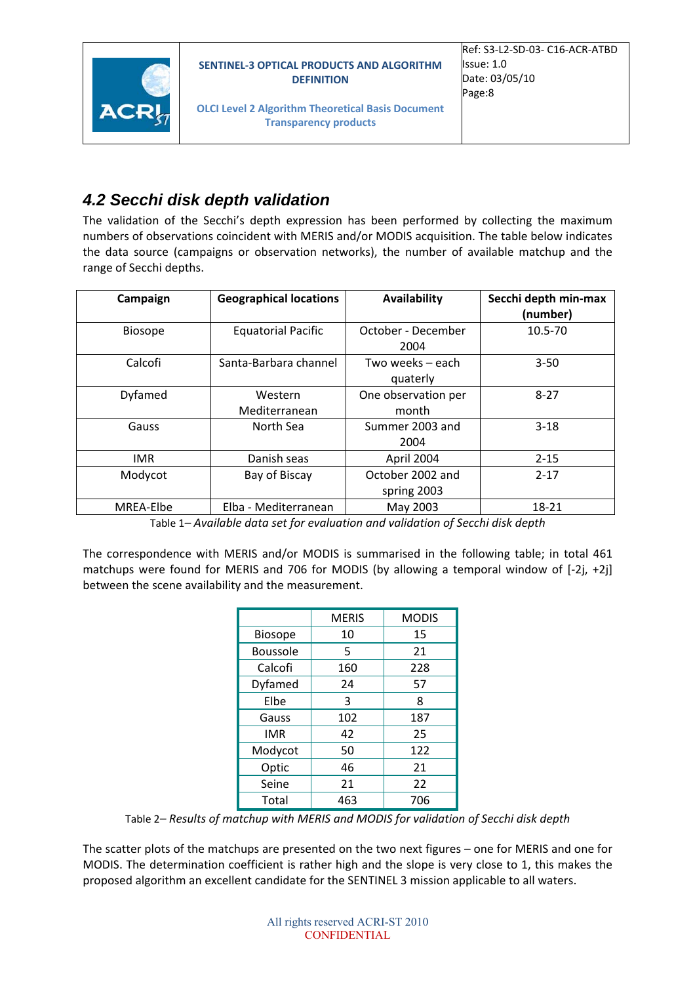



**OLCI Level 2 Algorithm Theoretical Basis Document Transparency products**

### *4.2 Secchi disk depth validation*

The validation of the Secchi's depth expression has been performed by collecting the maximum numbers of observations coincident with MERIS and/or MODIS acquisition. The table below indicates the data source (campaigns or observation networks), the number of available matchup and the range of Secchi depths.

| Campaign       | <b>Geographical locations</b> | Availability                    | Secchi depth min-max<br>(number) |
|----------------|-------------------------------|---------------------------------|----------------------------------|
| <b>Biosope</b> | <b>Equatorial Pacific</b>     | October - December<br>2004      | $10.5 - 70$                      |
| Calcofi        | Santa-Barbara channel         | Two weeks – each<br>quaterly    | $3 - 50$                         |
| Dyfamed        | Western<br>Mediterranean      | One observation per<br>month    | $8 - 27$                         |
| Gauss          | North Sea                     | Summer 2003 and<br>2004         | $3-18$                           |
| IMR.           | Danish seas                   | April 2004                      | $2 - 15$                         |
| Modycot        | Bay of Biscay                 | October 2002 and<br>spring 2003 | $2 - 17$                         |
| MREA-Elbe      | Elba - Mediterranean          | May 2003                        | 18-21                            |

Table 1*– Available data set for evaluation and validation of Secchi disk depth*

The correspondence with MERIS and/or MODIS is summarised in the following table; in total 461 matchups were found for MERIS and 706 for MODIS (by allowing a temporal window of [-2j, +2j] between the scene availability and the measurement.

|                 | <b>MERIS</b> | <b>MODIS</b> |
|-----------------|--------------|--------------|
| <b>Biosope</b>  | 10           | 15           |
| <b>Boussole</b> | 5            | 21           |
| Calcofi         | 160          | 228          |
| Dyfamed         | 24           | 57           |
| Elbe            | 3            | 8            |
| Gauss           | 102          | 187          |
| <b>IMR</b>      | 42           | 25           |
| Modycot         | 50           | 122          |
| Optic           | 46           | 21           |
| Seine           | 21           | 22           |
| Total           | 463          | 706          |

Table 2*– Results of matchup with MERIS and MODIS for validation of Secchi disk depth*

The scatter plots of the matchups are presented on the two next figures – one for MERIS and one for MODIS. The determination coefficient is rather high and the slope is very close to 1, this makes the proposed algorithm an excellent candidate for the SENTINEL 3 mission applicable to all waters.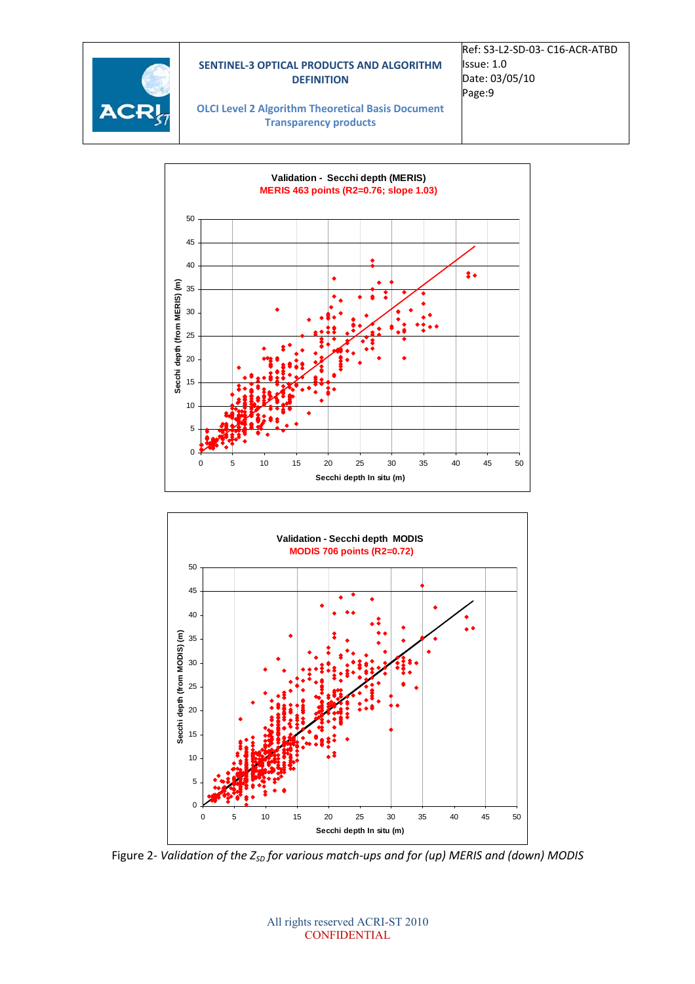

Ref: S3‐L2‐SD‐03‐ C16‐ACR‐ATBD Issue: 1.0 Date: 03/05/10 Page:9

**OLCI Level 2 Algorithm Theoretical Basis Document Transparency products**





Figure 2*‐ Validation of the ZSD for various match‐ups and for (up) MERIS and (down) MODIS*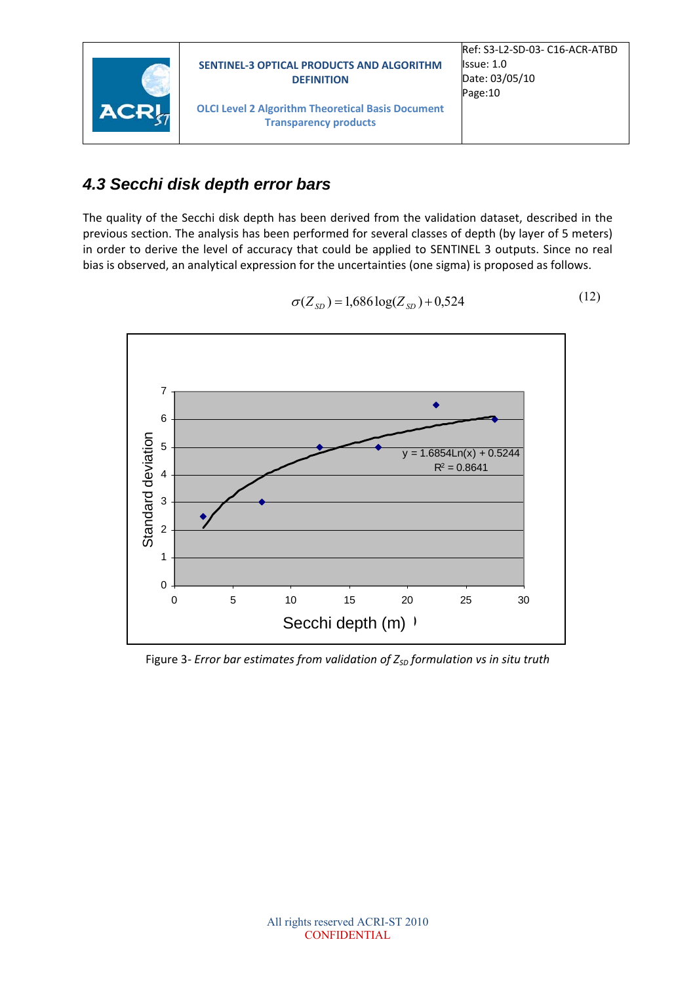

#### *4.3 Secchi disk depth error bars*

The quality of the Secchi disk depth has been derived from the validation dataset, described in the previous section. The analysis has been performed for several classes of depth (by layer of 5 meters) in order to derive the level of accuracy that could be applied to SENTINEL 3 outputs. Since no real bias is observed, an analytical expression for the uncertainties (one sigma) is proposed as follows.



$$
\sigma(Z_{SD}) = 1,686 \log(Z_{SD}) + 0,524 \tag{12}
$$

Figure 3*‐ Error bar estimates from validation of ZSD formulation vs in situ truth*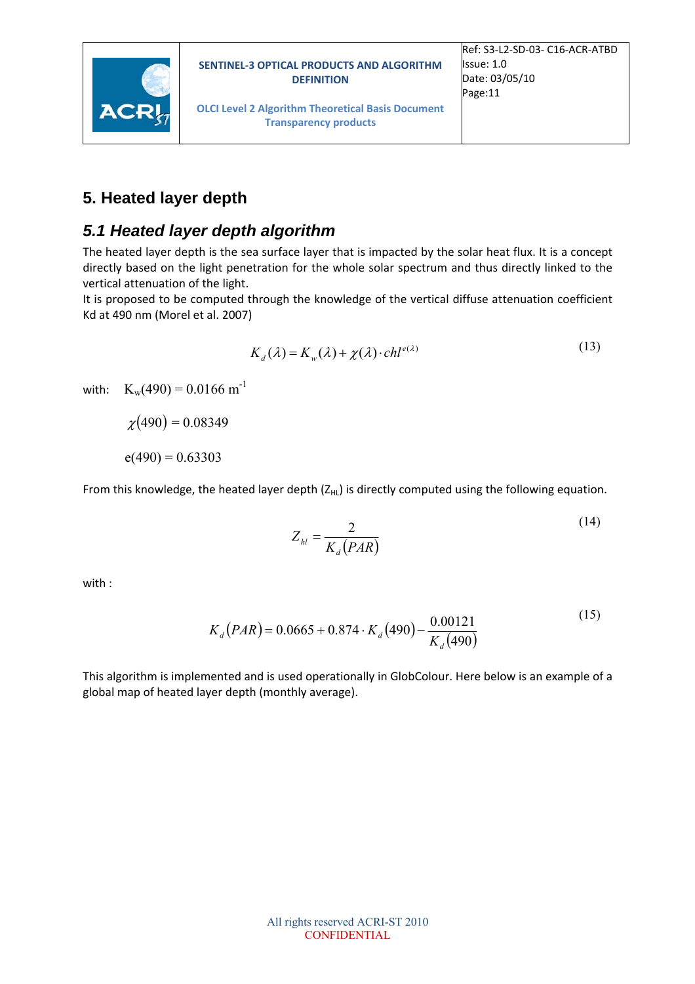

**OLCI Level 2 Algorithm Theoretical Basis Document Transparency products**

### **5. Heated layer depth**

### *5.1 Heated layer depth algorithm*

The heated layer depth is the sea surface layer that is impacted by the solar heat flux. It is a concept directly based on the light penetration for the whole solar spectrum and thus directly linked to the vertical attenuation of the light.

It is proposed to be computed through the knowledge of the vertical diffuse attenuation coefficient Kd at 490 nm (Morel et al. 2007)

$$
K_d(\lambda) = K_w(\lambda) + \chi(\lambda) \cdot ch l^{e(\lambda)}
$$
\n(13)

with:  $K_w(490) = 0.0166$  m<sup>-1</sup>

 $\chi(490) = 0.08349$ 

 $e(490) = 0.63303$ 

From this knowledge, the heated layer depth  $(Z_{HL})$  is directly computed using the following equation.

$$
Z_{hl} = \frac{2}{K_d(PAR)}\tag{14}
$$

with :

$$
K_d(PAR) = 0.0665 + 0.874 \cdot K_d(490) - \frac{0.00121}{K_d(490)}
$$
\n<sup>(15)</sup>

This algorithm is implemented and is used operationally in GlobColour. Here below is an example of a global map of heated layer depth (monthly average).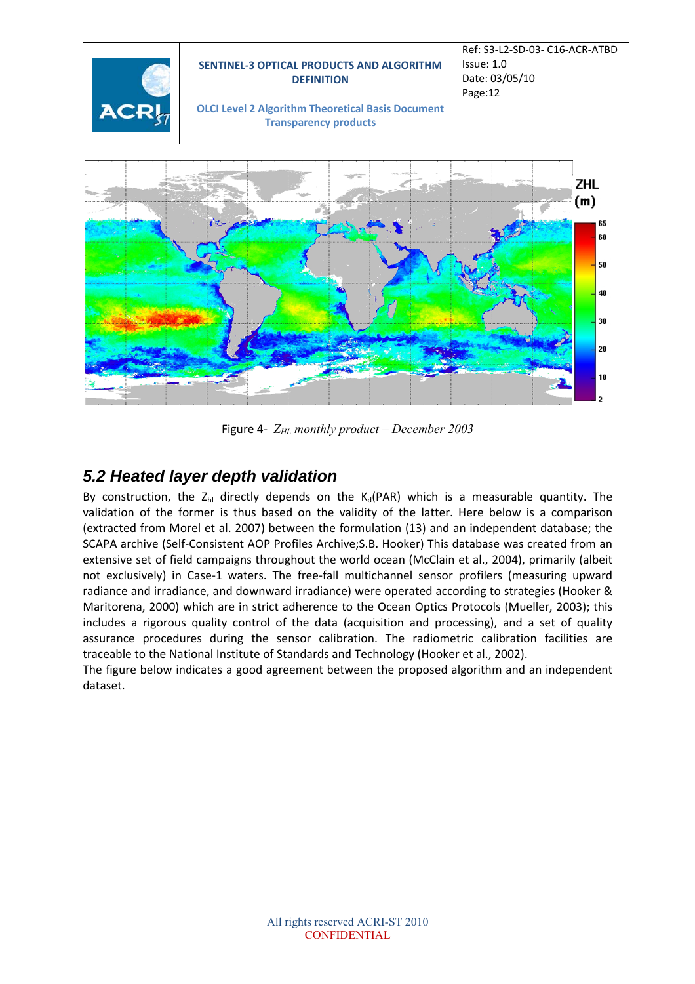

Figure 4-  $Z_{HL}$  monthly product – December 2003

### *5.2 Heated layer depth validation*

By construction, the  $Z_{hl}$  directly depends on the  $K_d(PAR)$  which is a measurable quantity. The validation of the former is thus based on the validity of the latter. Here below is a comparison (extracted from Morel et al. 2007) between the formulation (13) and an independent database; the SCAPA archive (Self‐Consistent AOP Profiles Archive;S.B. Hooker) This database was created from an extensive set of field campaigns throughout the world ocean (McClain et al., 2004), primarily (albeit not exclusively) in Case-1 waters. The free-fall multichannel sensor profilers (measuring upward radiance and irradiance, and downward irradiance) were operated according to strategies (Hooker & Maritorena, 2000) which are in strict adherence to the Ocean Optics Protocols (Mueller, 2003); this includes a rigorous quality control of the data (acquisition and processing), and a set of quality assurance procedures during the sensor calibration. The radiometric calibration facilities are traceable to the National Institute of Standards and Technology (Hooker et al., 2002).

The figure below indicates a good agreement between the proposed algorithm and an independent dataset.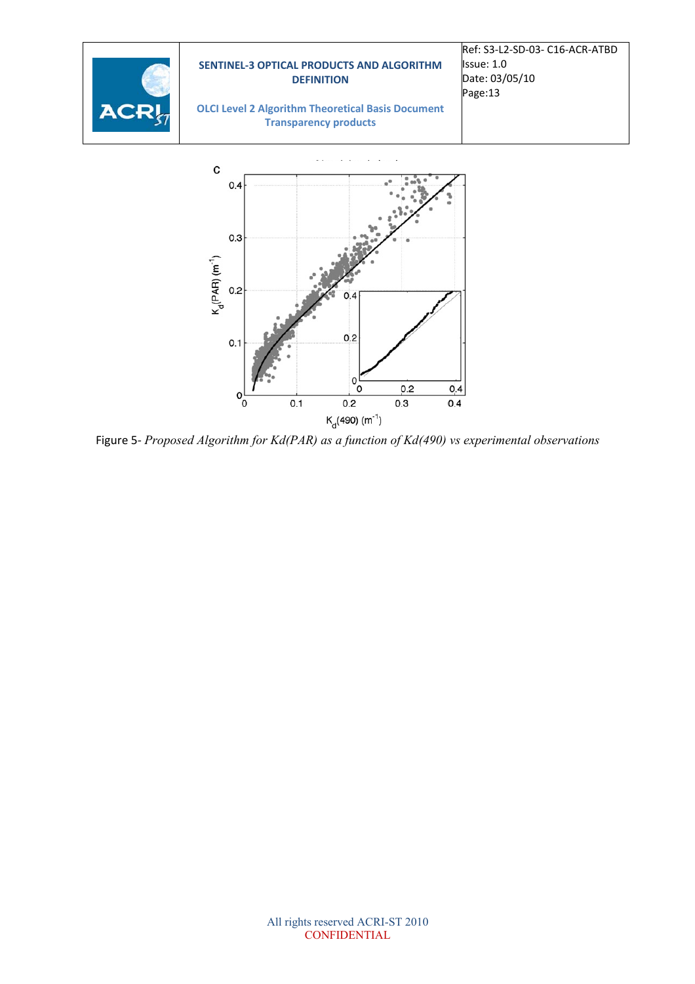

Figure 5*‐ Proposed Algorithm for Kd(PAR) as a function of Kd(490) vs experimental observations*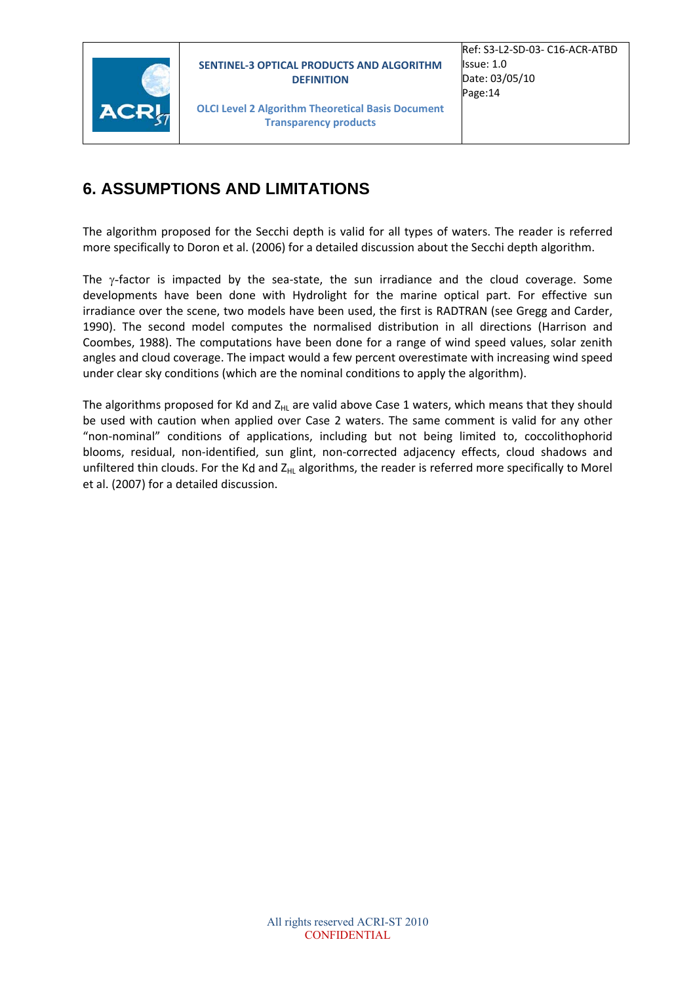

**OLCI Level 2 Algorithm Theoretical Basis Document Transparency products**

### **6. ASSUMPTIONS AND LIMITATIONS**

The algorithm proposed for the Secchi depth is valid for all types of waters. The reader is referred more specifically to Doron et al. (2006) for a detailed discussion about the Secchi depth algorithm.

The  $\gamma$ -factor is impacted by the sea-state, the sun irradiance and the cloud coverage. Some developments have been done with Hydrolight for the marine optical part. For effective sun irradiance over the scene, two models have been used, the first is RADTRAN (see Gregg and Carder, 1990). The second model computes the normalised distribution in all directions (Harrison and Coombes, 1988). The computations have been done for a range of wind speed values, solar zenith angles and cloud coverage. The impact would a few percent overestimate with increasing wind speed under clear sky conditions (which are the nominal conditions to apply the algorithm).

The algorithms proposed for Kd and  $Z_{HL}$  are valid above Case 1 waters, which means that they should be used with caution when applied over Case 2 waters. The same comment is valid for any other "non‐nominal" conditions of applications, including but not being limited to, coccolithophorid blooms, residual, non‐identified, sun glint, non‐corrected adjacency effects, cloud shadows and unfiltered thin clouds. For the Kd and Z<sub>HL</sub> algorithms, the reader is referred more specifically to Morel et al. (2007) for a detailed discussion.